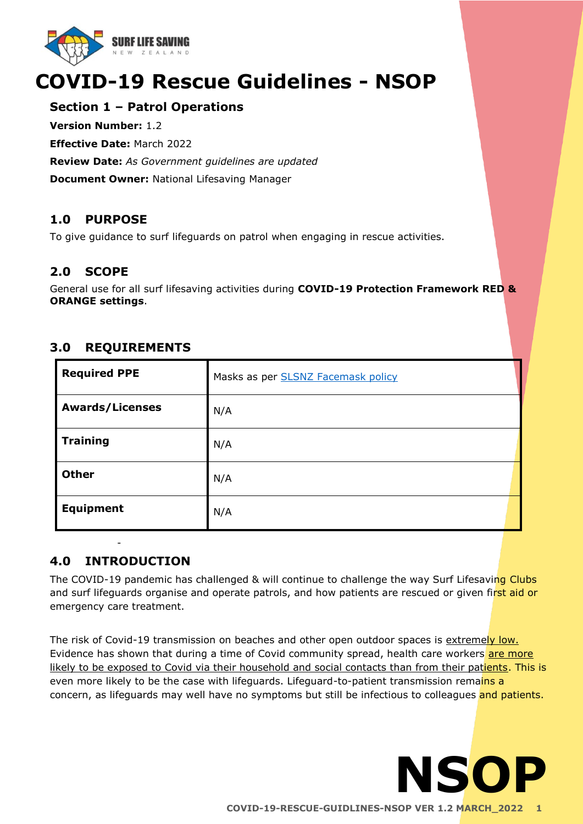

# **COVID-19 Rescue Guidelines - NSOP**

### **Section 1 – Patrol Operations**

**Version Number:** 1.2

**Effective Date:** March 2022

**Review Date:** *As Government guidelines are updated* 

**Document Owner:** National Lifesaving Manager

## **1.0 PURPOSE**

To give guidance to surf lifeguards on patrol when engaging in rescue activities.

## **2.0 SCOPE**

General use for all surf lifesaving activities during **COVID-19 Protection Framework RED & ORANGE settings**.

## **3.0 REQUIREMENTS**

| <b>Required PPE</b>    | Masks as per <b>SLSNZ Facemask policy</b> |
|------------------------|-------------------------------------------|
| <b>Awards/Licenses</b> | N/A                                       |
| <b>Training</b>        | N/A                                       |
| <b>Other</b>           | N/A                                       |
| <b>Equipment</b>       | N/A                                       |

# - **4.0 INTRODUCTION**

The COVID-19 pandemic has challenged & will continue to challenge the way Surf Lifesaving Clubs and surf lifeguards organise and operate patrols, and how patients are rescued or given first aid or emergency care treatment.

The risk of Covid-19 transmission on beaches and other open outdoor spaces is extremely low. Evidence has shown that during a time of Covid community spread, health care workers are more likely to be exposed to Covid via their household and social contacts than from their patients. This is even more likely to be the case with lifeguards. Lifeguard-to-patient transmission remains a concern, as lifeguards may well have no symptoms but still be infectious to colleagues and patients.

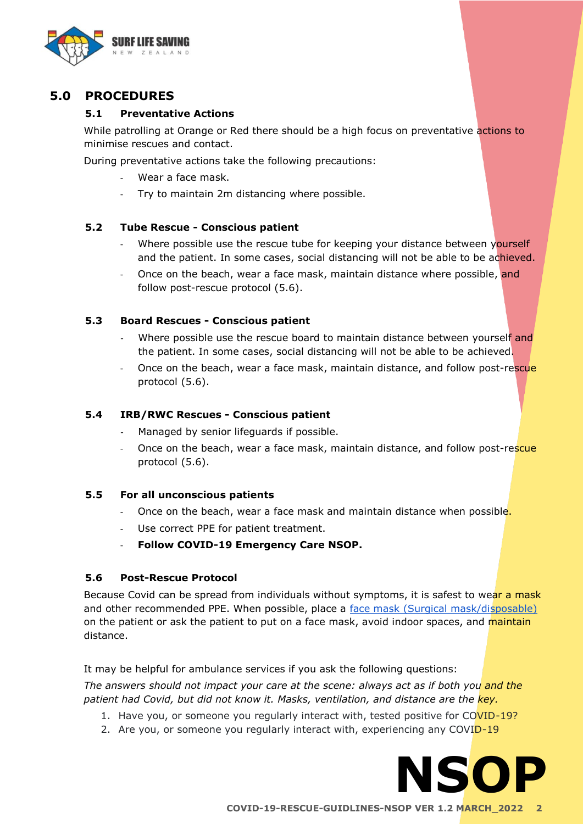

## **5.0 PROCEDURES**

#### **5.1 Preventative Actions**

While patrolling at Orange or Red there should be a high focus on preventative actions to minimise rescues and contact.

During preventative actions take the following precautions:

- Wear a face mask.
- Try to maintain 2m distancing where possible.

#### **5.2 Tube Rescue - Conscious patient**

- Where possible use the rescue tube for keeping your distance between yourself and the patient. In some cases, social distancing will not be able to be achieved.
- Once on the beach, wear a face mask, maintain distance where possible, and follow post-rescue protocol (5.6).

#### **5.3 Board Rescues - Conscious patient**

- Where possible use the rescue board to maintain distance between yourself and the patient. In some cases, social distancing will not be able to be achieved.
- Once on the beach, wear a face mask, maintain distance, and follow post-rescue protocol (5.6).

#### **5.4 IRB/RWC Rescues - Conscious patient**

- Managed by senior lifeguards if possible.
- Once on the beach, wear a face mask, maintain distance, and follow post-rescue protocol (5.6).

#### **5.5 For all unconscious patients**

- Once on the beach, wear a face mask and maintain distance when possible.
- Use correct PPE for patient treatment.
- **Follow COVID-19 Emergency Care NSOP.**

#### **5.6 Post-Rescue Protocol**

Because Covid can be spread from individuals without symptoms, it is safest to wear a mask and other recommended PPE. When possible, place a [face mask](https://www.surflifesaving.org.nz/media/995434/ops-circular-slsnz-facemask-policy-updated-20-10-21.pdf) [\(Surgical mask/disposable\)](https://www.surflifesaving.org.nz/media/995434/ops-circular-slsnz-facemask-policy-updated-20-10-21.pdf) on the patient or ask the patient to put on a face mask, avoid indoor spaces, and maintain distance.

It may be helpful for ambulance services if you ask the following questions: *The answers should not impact your care at the scene: always act as if both you and the* 

- *patient had Covid, but did not know it. Masks, ventilation, and distance are the key.*
	- 1. Have you, or someone you regularly interact with, tested positive for COVID-19?
	- 2. Are you, or someone you regularly interact with, experiencing any COVID-19